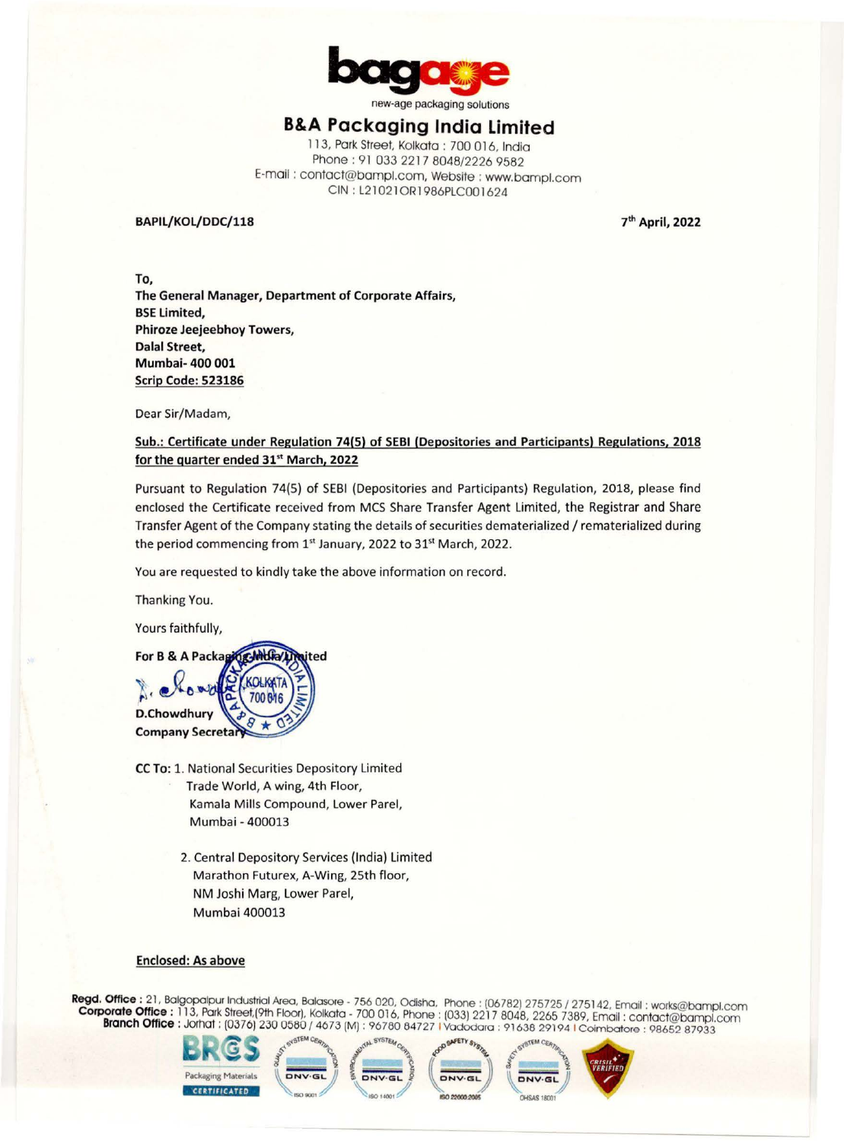

new-age packaging solutions

# **B&A Packaging India Limited**

113, Pork Street, Kolkato : 700 016, India Phone: 91 033 2217 8048/2226 9582 E-mail : contact@bampl.com, Website : www.bampl.com CIN : L21021 ORl 986PLC001624

### **BAPIL/KOL/DDC/118**

**7th April, 2022** 

**To, The General Manager, Department of Corporate Affairs, BSE Limited, Phiroze Jeejeebhoy Towers, Dalal Street, Mumbai- 400 001 Scrip Code: 523186** 

Dear Sir/Madam,

## **Sub.: Certificate under Regulation 74(5) of SEBI (Depositories and Participants) Regulations, 2018 for the quarter ended 31st March, 2022**

Pursuant to Regulation 74(5) of SEBI (Depositories and Participants) Regulation, 2018, please find enclosed the Certificate received from MCS Share Transfer Agent Limited, the Registrar and Share Transfer Agent of the Company stating the details of securities dematerialized / rematerialized during the period commencing from 1<sup>st</sup> January, 2022 to 31<sup>st</sup> March, 2022.

You are requested to kindly take the above information on record.

Thanking You.

Yours faithfully,



- **CC To:** 1. National Securities Depository Limited Trade World, A wing, 4th Floor, Kamala Mills Compound, Lower Pare!, Mumbai - 400013
	- 2. Central Depository Services (India) Limited Marathon Futurex, A-Wing, 25th floor, NM Joshi Marg, Lower Parel, Mumbai 400013

#### **Enclosed: As above**

**Regd. Office** : 21, Bolgopalpur Industrial Area, Bolosore - 756 020, Odisho, Phone : (06782) 275725 / 275142, Email : works@bampl.com **Corporate Office :** 113, Park Street,(9th Floor), Kolkata - 700 016, Phone: (033) 2217 8048, 2265 7389, Email: contact@bampl.com **Branch Office** : Jorhat : (0376) 230 0580 / 4673 (M) : 96780 84727 I Vododora : 91638 29194 1 Coimbatore : 98652 87933